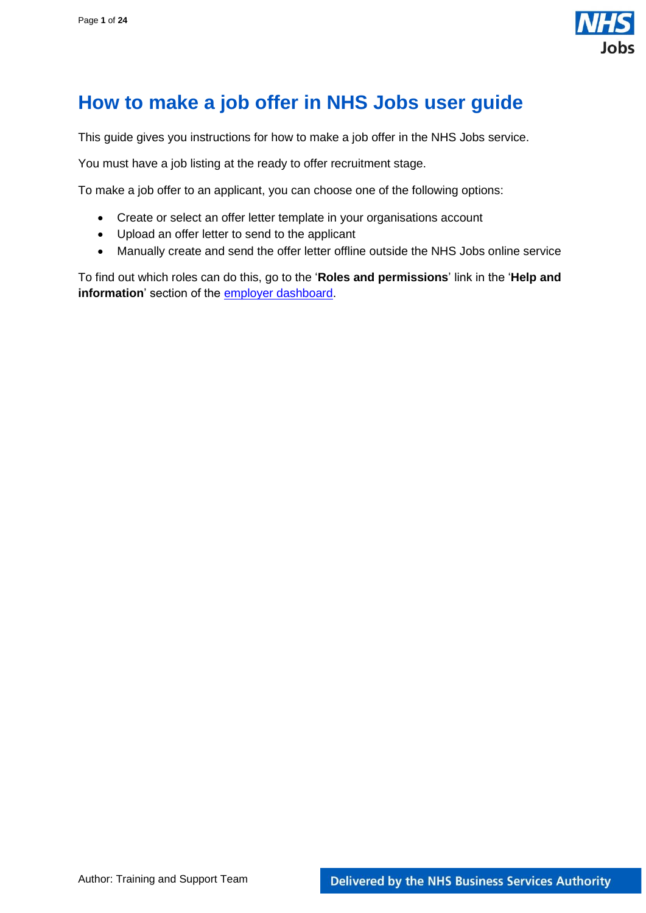

# <span id="page-0-0"></span>**How to make a job offer in NHS Jobs user guide**

This guide gives you instructions for how to make a job offer in the NHS Jobs service.

You must have a job listing at the ready to offer recruitment stage.

To make a job offer to an applicant, you can choose one of the following options:

- Create or select an offer letter template in your organisations account
- Upload an offer letter to send to the applicant
- Manually create and send the offer letter offline outside the NHS Jobs online service

To find out which roles can do this, go to the '**Roles and permissions**' link in the '**Help and information**' section of the [employer dashboard.](https://beta.jobs.nhs.uk/home)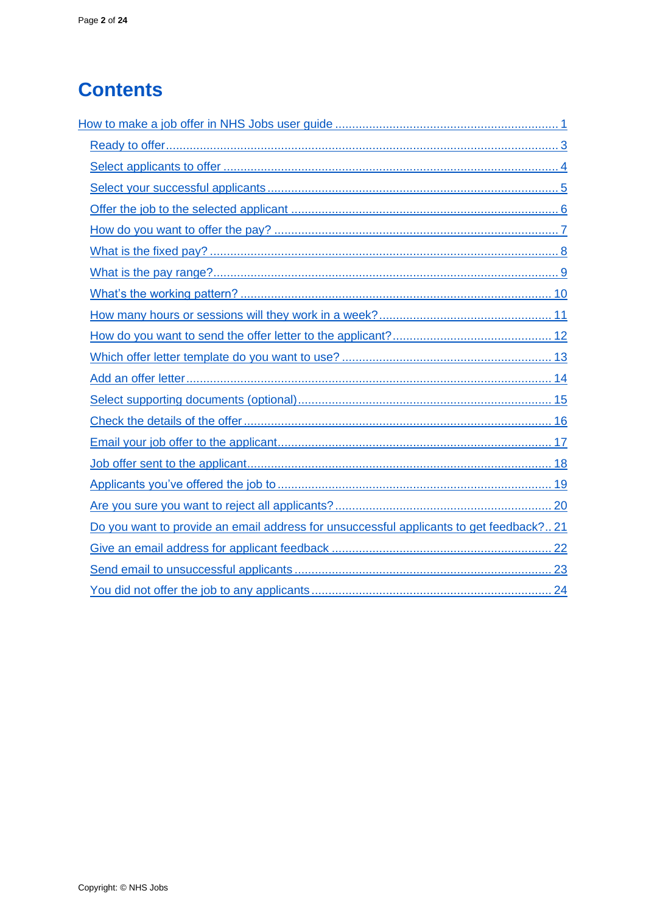# **Contents**

| Do you want to provide an email address for unsuccessful applicants to get feedback? 21 |
|-----------------------------------------------------------------------------------------|
|                                                                                         |
|                                                                                         |
|                                                                                         |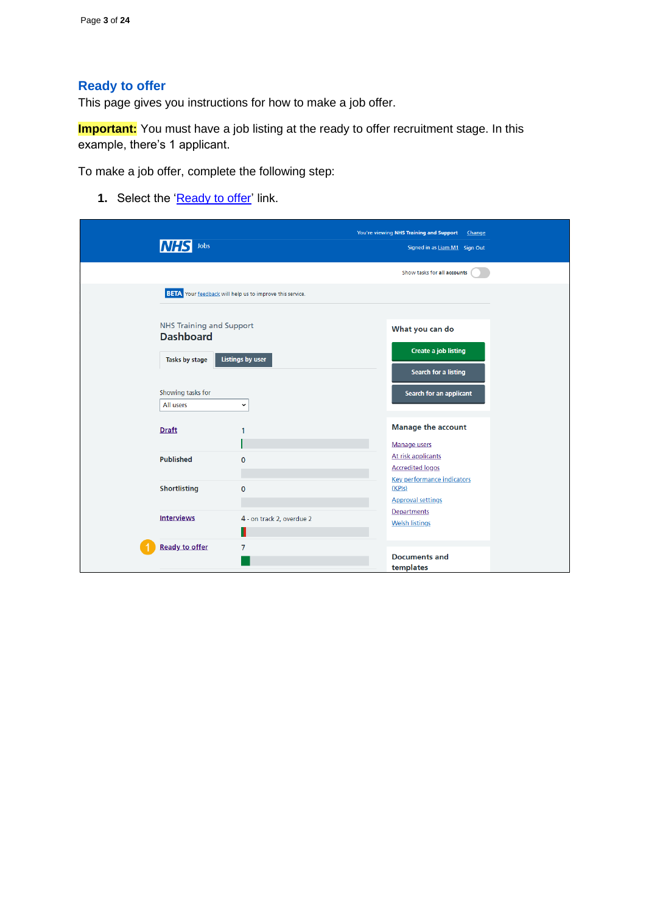# <span id="page-2-0"></span>**Ready to offer**

This page gives you instructions for how to make a job offer.

**Important:** You must have a job listing at the ready to offer recruitment stage. In this example, there's 1 applicant.

To make a job offer, complete the following step:

**1.** Select the ['Ready to offer'](#page-3-0) link.

| Jobs                                         |                                                                 | You're viewing NHS Training and Support<br>Change<br>Signed in as Liam M1 Sign Out |  |
|----------------------------------------------|-----------------------------------------------------------------|------------------------------------------------------------------------------------|--|
|                                              |                                                                 | Show tasks for all accounts                                                        |  |
|                                              | <b>BETA</b> Your feedback will help us to improve this service. |                                                                                    |  |
| NHS Training and Support<br><b>Dashboard</b> |                                                                 | What you can do                                                                    |  |
| Tasks by stage                               | <b>Listings by user</b>                                         | <b>Create a job listing</b><br>Search for a listing                                |  |
| Showing tasks for<br>All users               | $\check{~}$                                                     | Search for an applicant                                                            |  |
| <b>Draft</b>                                 | 1                                                               | <b>Manage the account</b><br>Manage users                                          |  |
| <b>Published</b>                             | $\mathbf{0}$                                                    | At risk applicants<br><b>Accredited logos</b>                                      |  |
| <b>Shortlisting</b>                          | $\mathbf 0$                                                     | <b>Key performance indicators</b><br>(KPIs)<br><b>Approval settings</b>            |  |
| <b>Interviews</b>                            | 4 - on track 2, overdue 2                                       | Departments<br><b>Welsh listings</b>                                               |  |
| <b>Ready to offer</b>                        | 7                                                               | <b>Documents and</b><br>templates                                                  |  |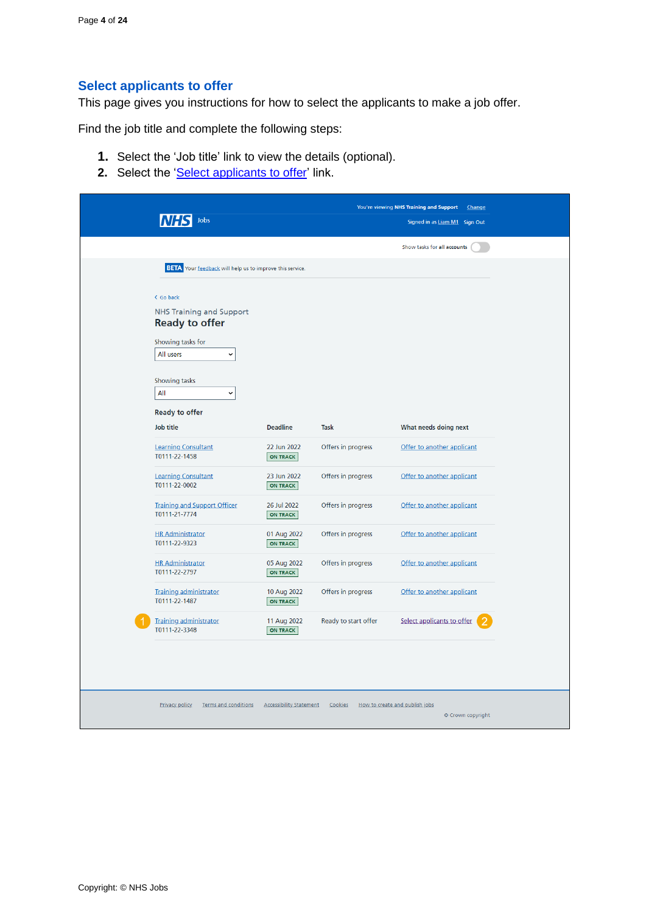# <span id="page-3-0"></span>**Select applicants to offer**

This page gives you instructions for how to select the applicants to make a job offer.

Find the job title and complete the following steps:

- **1.** Select the 'Job title' link to view the details (optional).
- 2. Select the ['Select applicants to offer'](#page-4-0) link.

| Jobs                                                            |                                |                      | You're viewing NHS Training and Support<br>Change<br>Signed in as Liam M1 Sign Out |
|-----------------------------------------------------------------|--------------------------------|----------------------|------------------------------------------------------------------------------------|
|                                                                 |                                |                      |                                                                                    |
|                                                                 |                                |                      | Show tasks for all accounts                                                        |
| <b>BETA</b> Your feedback will help us to improve this service. |                                |                      |                                                                                    |
| < Go back                                                       |                                |                      |                                                                                    |
| <b>NHS Training and Support</b><br><b>Ready to offer</b>        |                                |                      |                                                                                    |
| Showing tasks for<br>All users<br>$\checkmark$                  |                                |                      |                                                                                    |
|                                                                 |                                |                      |                                                                                    |
| Showing tasks<br>All<br>$\check{}$                              |                                |                      |                                                                                    |
| <b>Ready to offer</b>                                           |                                |                      |                                                                                    |
| Job title                                                       | <b>Deadline</b>                | <b>Task</b>          | What needs doing next                                                              |
| <b>Learning Consultant</b><br>T0111-22-1458                     | 22 Jun 2022<br><b>ON TRACK</b> | Offers in progress   | Offer to another applicant                                                         |
| <b>Learning Consultant</b><br>T0111-22-0002                     | 23 Jun 2022<br><b>ON TRACK</b> | Offers in progress   | Offer to another applicant                                                         |
| <b>Training and Support Officer</b><br>T0111-21-7774            | 26 Jul 2022<br><b>ON TRACK</b> | Offers in progress   | Offer to another applicant                                                         |
| <b>HR Administrator</b><br>T0111-22-9323                        | 01 Aug 2022<br>ON TRACK        | Offers in progress   | Offer to another applicant                                                         |
| <b>HR Administrator</b><br>T0111-22-2797                        | 05 Aug 2022<br><b>ON TRACK</b> | Offers in progress   | Offer to another applicant                                                         |
| <b>Training administrator</b><br>T0111-22-1487                  | 10 Aug 2022<br><b>ON TRACK</b> | Offers in progress   | Offer to another applicant                                                         |
| <b>Training administrator</b><br>T0111-22-3348                  | 11 Aug 2022<br><b>ON TRACK</b> | Ready to start offer | Select applicants to offer                                                         |
|                                                                 |                                |                      |                                                                                    |
|                                                                 |                                |                      |                                                                                    |
| Privacy policy<br><b>Terms and conditions</b>                   | <b>Accessibility Statement</b> | Cookies              | How to create and publish jobs                                                     |
|                                                                 |                                |                      | © Crown copyright                                                                  |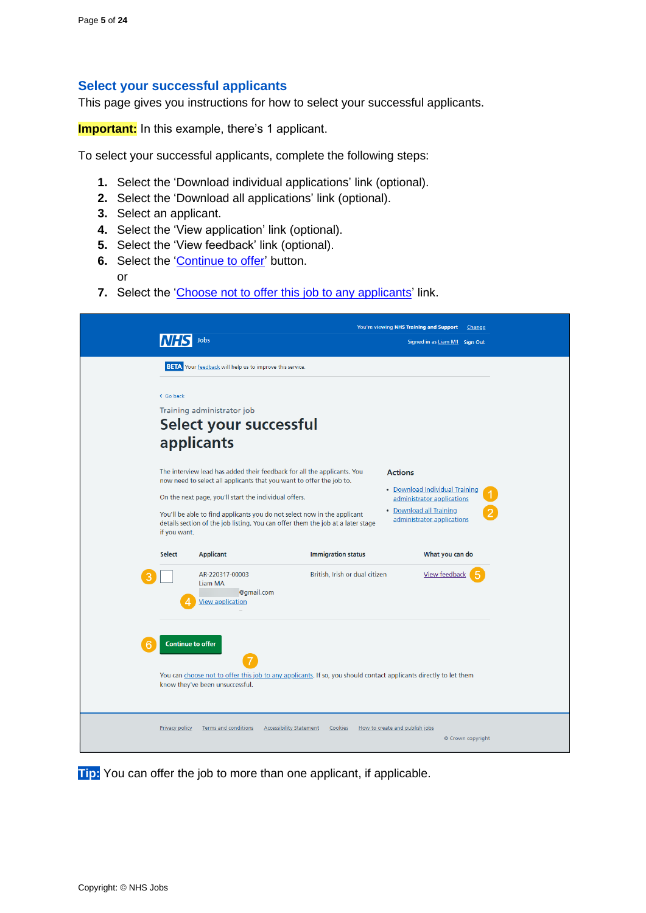# <span id="page-4-0"></span>**Select your successful applicants**

This page gives you instructions for how to select your successful applicants.

**Important:** In this example, there's 1 applicant.

To select your successful applicants, complete the following steps:

- **1.** Select the 'Download individual applications' link (optional).
- **2.** Select the 'Download all applications' link (optional).
- **3.** Select an applicant.
- **4.** Select the 'View application' link (optional).
- **5.** Select the 'View feedback' link (optional).
- **6.** Select the ['Continue to offer'](#page-5-0) button.
	- or
- **7.** Select the ['Choose not to offer this job](#page-19-0) to any applicants' link.

|                          | Jobs                                                                                                                                                                                                                                                                                                                                                                    |                                | You're viewing NHS Training and Support<br>Signed in as Liam M1 Sign Out                                                                | Change            |
|--------------------------|-------------------------------------------------------------------------------------------------------------------------------------------------------------------------------------------------------------------------------------------------------------------------------------------------------------------------------------------------------------------------|--------------------------------|-----------------------------------------------------------------------------------------------------------------------------------------|-------------------|
|                          | <b>BETA</b> Your feedback will help us to improve this service.                                                                                                                                                                                                                                                                                                         |                                |                                                                                                                                         |                   |
| < Go back                | Training administrator job<br>Select your successful<br>applicants                                                                                                                                                                                                                                                                                                      |                                |                                                                                                                                         |                   |
| if you want.             | The interview lead has added their feedback for all the applicants. You<br>now need to select all applicants that you want to offer the job to.<br>On the next page, you'll start the individual offers.<br>You'll be able to find applicants you do not select now in the applicant<br>details section of the job listing. You can offer them the job at a later stage |                                | <b>Actions</b><br>• Download Individual Training<br>administrator applications<br>• Download all Training<br>administrator applications |                   |
| <b>Select</b>            | <b>Applicant</b>                                                                                                                                                                                                                                                                                                                                                        | <b>Immigration status</b>      | What you can do                                                                                                                         |                   |
|                          | AR-220317-00003<br>Liam MA<br>@gmail.com<br><b>View application</b>                                                                                                                                                                                                                                                                                                     | British, Irish or dual citizen | <b>View feedback</b>                                                                                                                    |                   |
| <b>Continue to offer</b> | You can choose not to offer this job to any applicants. If so, you should contact applicants directly to let them<br>know they've been unsuccessful.                                                                                                                                                                                                                    |                                |                                                                                                                                         |                   |
| <b>Privacy policy</b>    | <b>Terms and conditions</b><br><b>Accessibility Statement</b>                                                                                                                                                                                                                                                                                                           | Cookies                        | How to create and publish jobs                                                                                                          | © Crown copyright |

**Tip:** You can offer the job to more than one applicant, if applicable.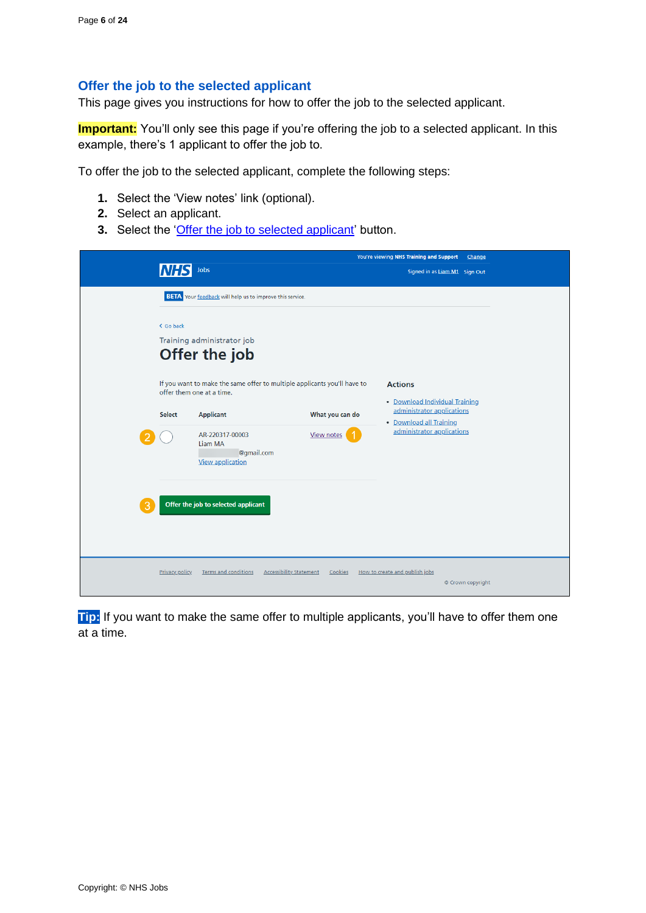# <span id="page-5-0"></span>**Offer the job to the selected applicant**

This page gives you instructions for how to offer the job to the selected applicant.

**Important:** You'll only see this page if you're offering the job to a selected applicant. In this example, there's 1 applicant to offer the job to.

To offer the job to the selected applicant, complete the following steps:

- **1.** Select the 'View notes' link (optional).
- **2.** Select an applicant.
- **3.** Select the ['Offer the job to selected applicant'](#page-6-0) button.

|                       |                                                                                                       |                 | You're viewing NHS Training and Support<br>Change     |  |
|-----------------------|-------------------------------------------------------------------------------------------------------|-----------------|-------------------------------------------------------|--|
|                       | Jobs                                                                                                  |                 | Signed in as Liam M1 Sign Out                         |  |
|                       | <b>BETA</b> Your feedback will help us to improve this service.                                       |                 |                                                       |  |
| < Go back             | Training administrator job<br>Offer the job                                                           |                 |                                                       |  |
|                       | If you want to make the same offer to multiple applicants you'll have to<br>offer them one at a time. |                 | <b>Actions</b><br>• Download Individual Training      |  |
| Select                | <b>Applicant</b>                                                                                      | What you can do | administrator applications<br>• Download all Training |  |
|                       | AR-220317-00003<br>Liam MA<br>@gmail.com<br><b>View application</b>                                   | View notes      | administrator applications                            |  |
|                       | Offer the job to selected applicant                                                                   |                 |                                                       |  |
| <b>Privacy policy</b> | <b>Accessibility Statement</b><br><b>Terms and conditions</b>                                         | Cookies         | How to create and publish jobs<br>© Crown copyright   |  |

**Tip:** If you want to make the same offer to multiple applicants, you'll have to offer them one at a time.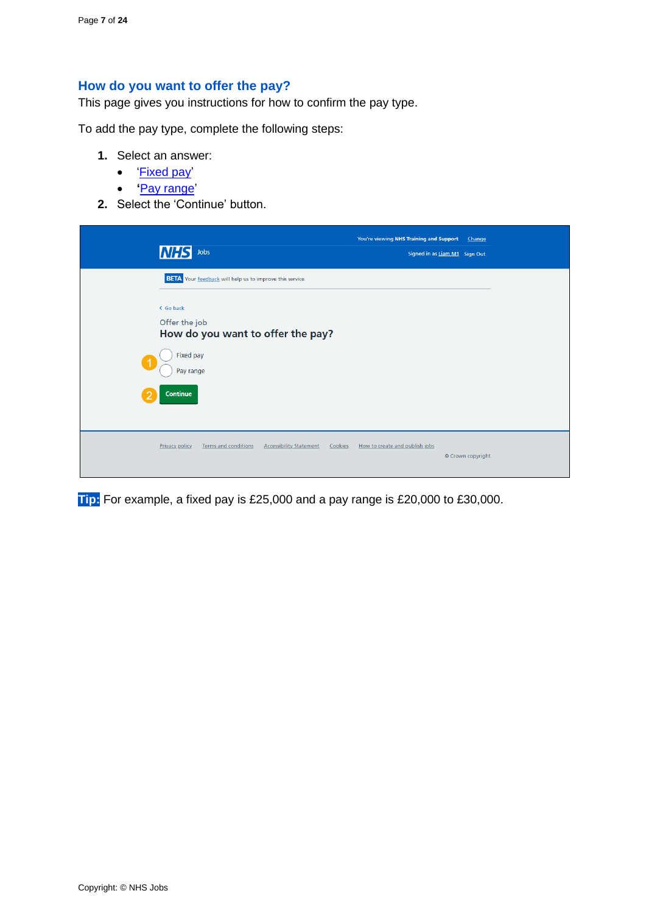# <span id="page-6-0"></span>**How do you want to offer the pay?**

This page gives you instructions for how to confirm the pay type.

To add the pay type, complete the following steps:

- **1.** Select an answer:
	- ['Fixed pay'](#page-7-0)
	- **'**[Pay range'](#page-8-0)
- **2.** Select the 'Continue' button.

| <b>NHS</b><br>Jobs                                                                                | You're viewing NHS Training and Support<br>Change<br>Signed in as Liam M1 Sign Out |
|---------------------------------------------------------------------------------------------------|------------------------------------------------------------------------------------|
| <b>BETA</b> Your feedback will help us to improve this service.                                   |                                                                                    |
| < Go back                                                                                         |                                                                                    |
| Offer the job<br>How do you want to offer the pay?                                                |                                                                                    |
| Fixed pay<br>-1<br>Pay range                                                                      |                                                                                    |
| <b>Continue</b><br>ာ                                                                              |                                                                                    |
| <b>Terms and conditions</b><br><b>Privacy policy</b><br><b>Accessibility Statement</b><br>Cookies | How to create and publish jobs<br>© Crown copyright                                |

**Tip:** For example, a fixed pay is £25,000 and a pay range is £20,000 to £30,000.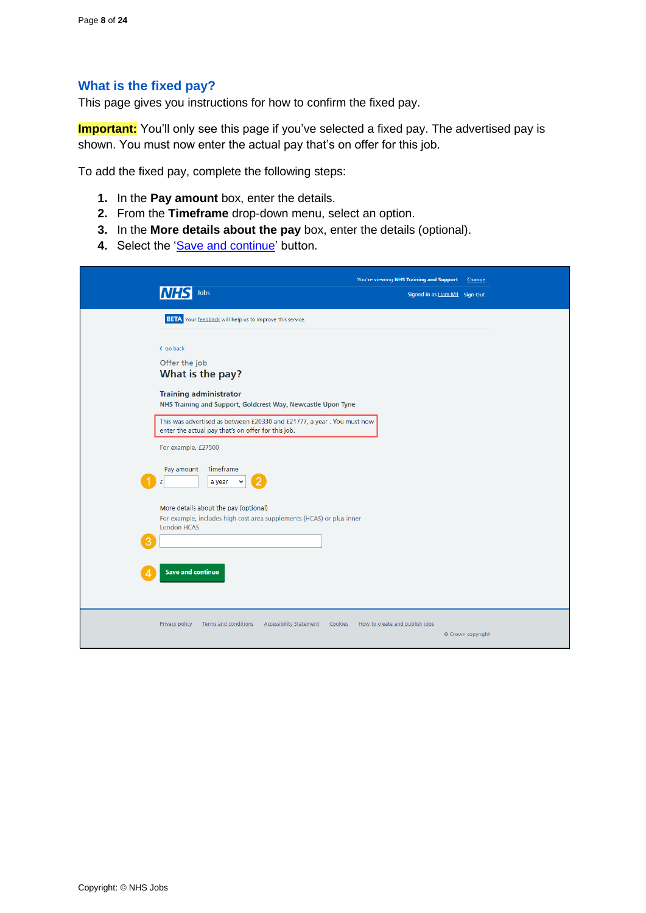## <span id="page-7-0"></span>**What is the fixed pay?**

This page gives you instructions for how to confirm the fixed pay.

**Important:** You'll only see this page if you've selected a fixed pay. The advertised pay is shown. You must now enter the actual pay that's on offer for this job.

To add the fixed pay, complete the following steps:

- **1.** In the **Pay amount** box, enter the details.
- **2.** From the **Timeframe** drop-down menu, select an option.
- **3.** In the **More details about the pay** box, enter the details (optional).
- 4. Select the ['Save and continue'](#page-9-0) button.

|                       |                                                                                                                              | You're viewing NHS Training and Support             | Change |
|-----------------------|------------------------------------------------------------------------------------------------------------------------------|-----------------------------------------------------|--------|
|                       | Jobs                                                                                                                         | Signed in as Liam M1 Sign Out                       |        |
|                       | <b>BETA</b> Your feedback will help us to improve this service.                                                              |                                                     |        |
| < Go back             |                                                                                                                              |                                                     |        |
| Offer the job         |                                                                                                                              |                                                     |        |
|                       | What is the pay?                                                                                                             |                                                     |        |
|                       | <b>Training administrator</b><br>NHS Training and Support, Goldcrest Way, Newcastle Upon Tyne                                |                                                     |        |
|                       | This was advertised as between £20330 and £21777, a year. You must now<br>enter the actual pay that's on offer for this job. |                                                     |        |
|                       | For example, £27500                                                                                                          |                                                     |        |
| Pay amount<br>£       | Timeframe<br>a year                                                                                                          |                                                     |        |
| <b>London HCAS</b>    | More details about the pay (optional)<br>For example, includes high cost area supplements (HCAS) or plus inner               |                                                     |        |
|                       |                                                                                                                              |                                                     |        |
|                       | <b>Save and continue</b>                                                                                                     |                                                     |        |
| <b>Privacy policy</b> | <b>Accessibility Statement</b><br>Terms and conditions<br>Cookies                                                            | How to create and publish jobs<br>© Crown copyright |        |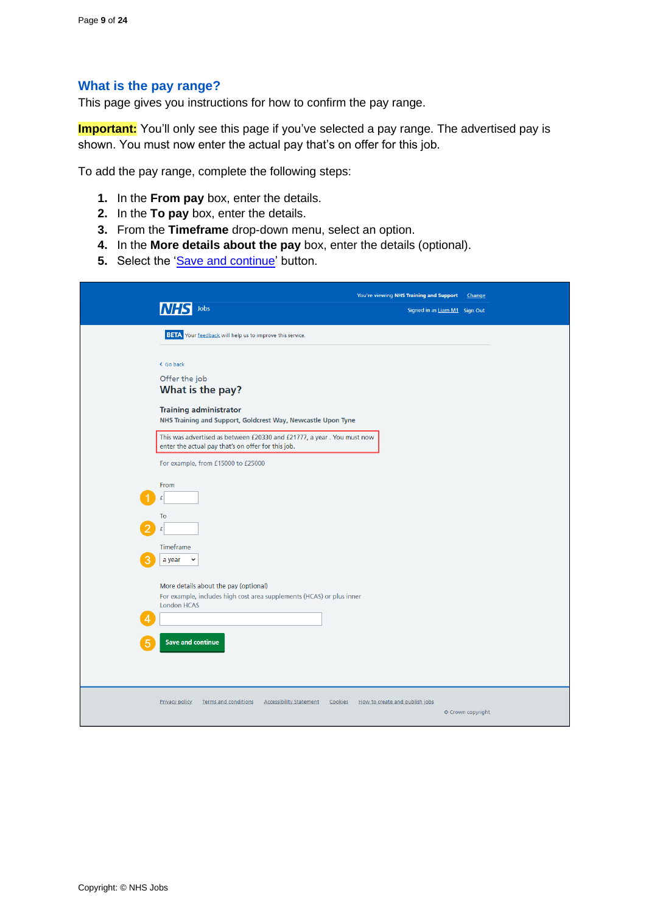#### <span id="page-8-0"></span>**What is the pay range?**

This page gives you instructions for how to confirm the pay range.

**Important:** You'll only see this page if you've selected a pay range. The advertised pay is shown. You must now enter the actual pay that's on offer for this job.

To add the pay range, complete the following steps:

- **1.** In the **From pay** box, enter the details.
- **2.** In the **To pay** box, enter the details.
- **3.** From the **Timeframe** drop-down menu, select an option.
- **4.** In the **More details about the pay** box, enter the details (optional).
- **5.** Select the ['Save and continue'](#page-9-0) button.

| Jobs                                                                                                                                      | You're viewing NHS Training and Support<br>Change<br>Signed in as Liam M1 Sign Out |
|-------------------------------------------------------------------------------------------------------------------------------------------|------------------------------------------------------------------------------------|
| <b>BETA</b> Your feedback will help us to improve this service.                                                                           |                                                                                    |
| < Go back<br>Offer the job<br>What is the pay?                                                                                            |                                                                                    |
| <b>Training administrator</b><br>NHS Training and Support, Goldcrest Way, Newcastle Upon Tyne                                             |                                                                                    |
| This was advertised as between £20330 and £21777, a year. You must now<br>enter the actual pay that's on offer for this job.              |                                                                                    |
| For example, from £15000 to £25000                                                                                                        |                                                                                    |
| From<br>£                                                                                                                                 |                                                                                    |
| To<br>£                                                                                                                                   |                                                                                    |
| Timeframe<br>a year<br>$\check{ }$                                                                                                        |                                                                                    |
| More details about the pay (optional)<br>For example, includes high cost area supplements (HCAS) or plus inner<br><b>London HCAS</b><br>Λ |                                                                                    |
| <b>Save and continue</b>                                                                                                                  |                                                                                    |
| <b>Privacy policy</b><br><b>Terms and conditions</b><br><b>Accessibility Statement</b><br>Cookies                                         | How to create and publish jobs<br>© Crown copyright                                |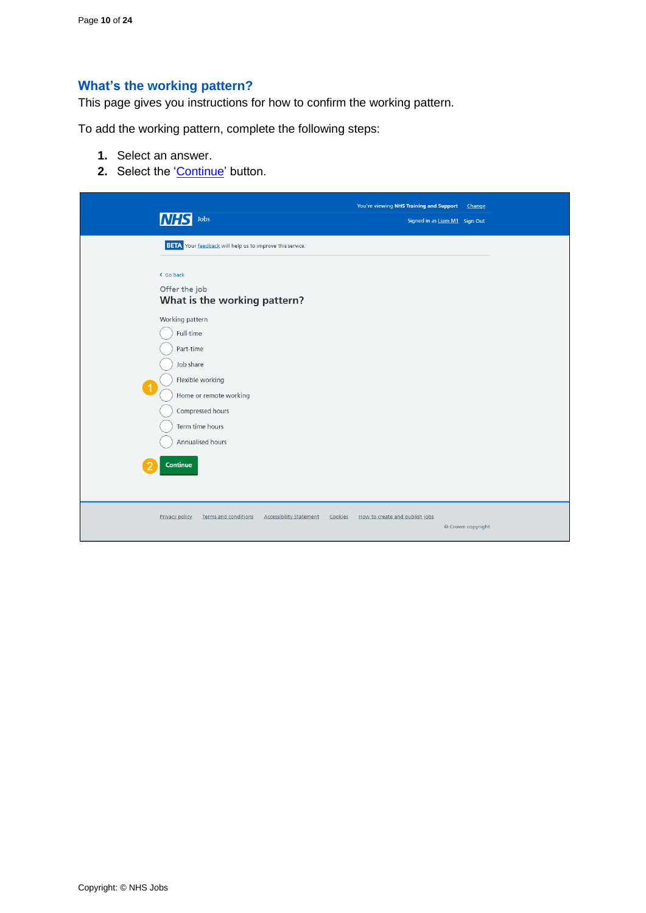# <span id="page-9-0"></span>**What's the working pattern?**

This page gives you instructions for how to confirm the working pattern.

To add the working pattern, complete the following steps:

- **1.** Select an answer.
- **2.** Select the ['Continue'](#page-10-0) button.

| <b>NHS</b><br>Jobs                                                                                                                                       | You're viewing NHS Training and Support<br>Signed in as Liam M1 Sign Out | Change            |
|----------------------------------------------------------------------------------------------------------------------------------------------------------|--------------------------------------------------------------------------|-------------------|
| <b>BETA</b> Your feedback will help us to improve this service.                                                                                          |                                                                          |                   |
| < Go back<br>Offer the job<br>What is the working pattern?<br>Working pattern<br>Full-time                                                               |                                                                          |                   |
| Part-time<br>Job share<br>Flexible working<br>$\overline{1}$<br>Home or remote working<br>Compressed hours<br>Term time hours<br><b>Annualised hours</b> |                                                                          |                   |
| <b>Continue</b>                                                                                                                                          |                                                                          |                   |
| <b>Terms and conditions</b><br><b>Accessibility Statement</b><br><b>Privacy policy</b><br>Cookies                                                        | How to create and publish jobs                                           | © Crown copyright |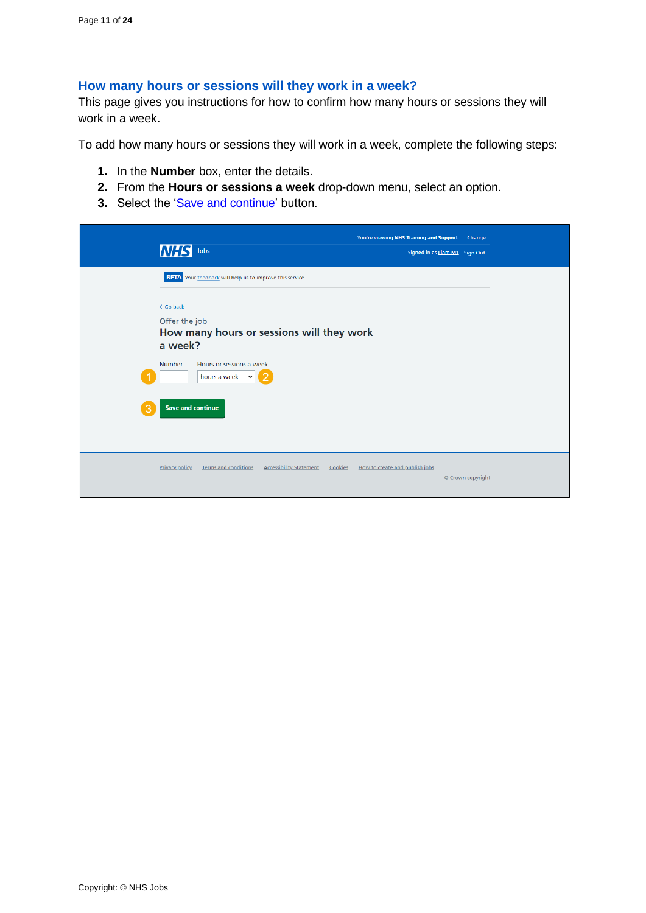## <span id="page-10-0"></span>**How many hours or sessions will they work in a week?**

This page gives you instructions for how to confirm how many hours or sessions they will work in a week.

To add how many hours or sessions they will work in a week, complete the following steps:

- **1.** In the **Number** box, enter the details.
- **2.** From the **Hours or sessions a week** drop-down menu, select an option.
- **3.** Select the ['Save and continue'](#page-11-0) button.

| <b>INHS</b><br>Jobs                                                                           | You're viewing NHS Training and Support                                     | Change<br>Signed in as Liam M1 Sign Out |
|-----------------------------------------------------------------------------------------------|-----------------------------------------------------------------------------|-----------------------------------------|
| <b>BETA</b> Your feedback will help us to improve this service.<br>< Go back<br>Offer the job |                                                                             |                                         |
| a week?<br>Hours or sessions a week<br><b>Number</b><br>hours a week $\  \cdot \ $            | How many hours or sessions will they work<br>Ø                              |                                         |
| <b>Save and continue</b><br>ß                                                                 |                                                                             |                                         |
| <b>Privacy policy</b><br>Terms and conditions                                                 | <b>Accessibility Statement</b><br>Cookies<br>How to create and publish jobs | © Crown copyright                       |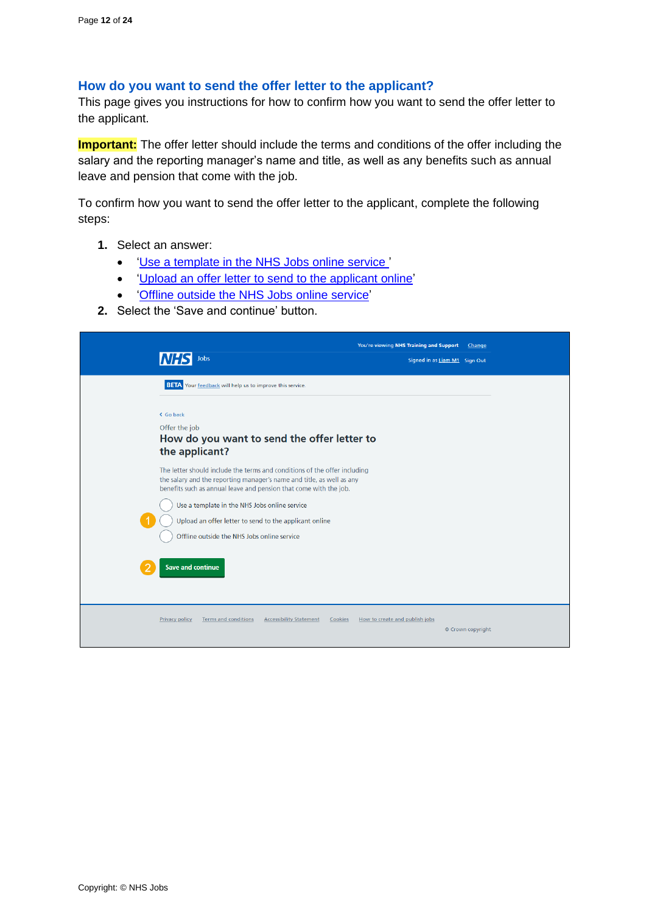# <span id="page-11-0"></span>**How do you want to send the offer letter to the applicant?**

This page gives you instructions for how to confirm how you want to send the offer letter to the applicant.

**Important:** The offer letter should include the terms and conditions of the offer including the salary and the reporting manager's name and title, as well as any benefits such as annual leave and pension that come with the job.

To confirm how you want to send the offer letter to the applicant, complete the following steps:

- **1.** Select an answer:
	- ['Use a template in the NHS Jobs online service '](#page-12-0)
	- ['Upload an offer letter to send to the applicant online'](#page-13-0)
	- ['Offline outside the NHS Jobs](#page-15-0) online service'
- **2.** Select the 'Save and continue' button.

| Jobs                                                                                                                                                                                                                                                                                                                                                                                                          | You're viewing NHS Training and Support<br>Change<br>Signed in as Liam M1 Sign Out |
|---------------------------------------------------------------------------------------------------------------------------------------------------------------------------------------------------------------------------------------------------------------------------------------------------------------------------------------------------------------------------------------------------------------|------------------------------------------------------------------------------------|
| <b>BETA</b> Your feedback will help us to improve this service.                                                                                                                                                                                                                                                                                                                                               |                                                                                    |
| < Go back<br>Offer the job<br>How do you want to send the offer letter to<br>the applicant?                                                                                                                                                                                                                                                                                                                   |                                                                                    |
| The letter should include the terms and conditions of the offer including<br>the salary and the reporting manager's name and title, as well as any<br>benefits such as annual leave and pension that come with the job.<br>Use a template in the NHS Jobs online service<br>Upload an offer letter to send to the applicant online<br>Offline outside the NHS Jobs online service<br><b>Save and continue</b> |                                                                                    |
| <b>Terms and conditions</b><br><b>Accessibility Statement</b><br><b>Privacy policy</b><br>Cookies                                                                                                                                                                                                                                                                                                             | How to create and publish jobs<br>© Crown copyright                                |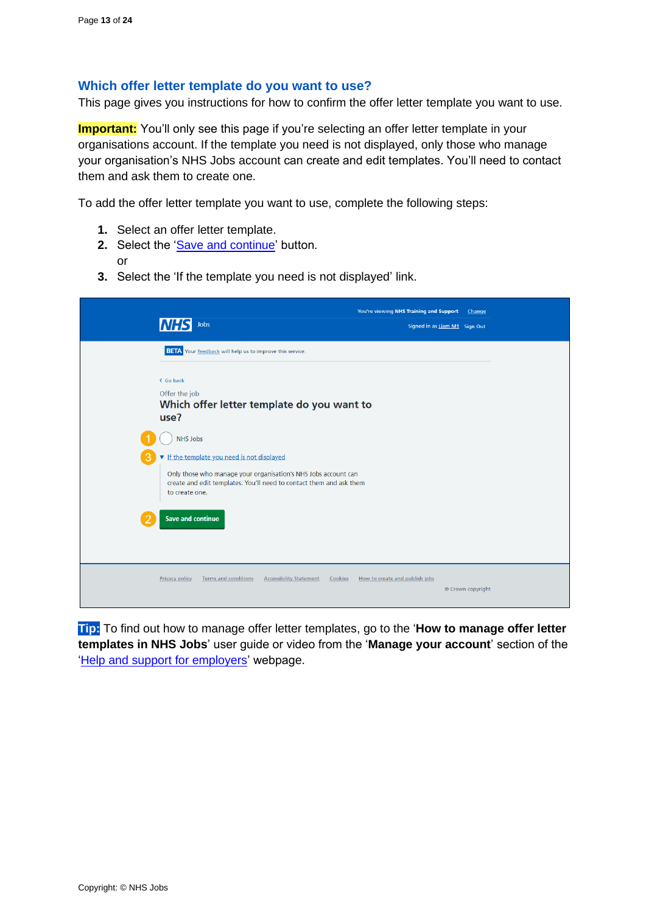## <span id="page-12-0"></span>**Which offer letter template do you want to use?**

This page gives you instructions for how to confirm the offer letter template you want to use.

**Important:** You'll only see this page if you're selecting an offer letter template in your organisations account. If the template you need is not displayed, only those who manage your organisation's NHS Jobs account can create and edit templates. You'll need to contact them and ask them to create one.

To add the offer letter template you want to use, complete the following steps:

- **1.** Select an offer letter template.
- **2.** Select the ['Save and continue'](#page-14-0) button. or
- **3.** Select the 'If the template you need is not displayed' link.

| Jobs<br><b>NHS</b>                                                                                                                                                                                                                               | You're viewing NHS Training and Support<br>Change<br>Signed in as Liam M1 Sign Out |
|--------------------------------------------------------------------------------------------------------------------------------------------------------------------------------------------------------------------------------------------------|------------------------------------------------------------------------------------|
| <b>BETA</b> Your feedback will help us to improve this service.                                                                                                                                                                                  |                                                                                    |
| < Go back<br>Offer the job<br>Which offer letter template do you want to<br>use?                                                                                                                                                                 |                                                                                    |
| <b>NHS Jobs</b><br>The template you need is not displayed<br>Only those who manage your organisation's NHS Jobs account can<br>create and edit templates. You'll need to contact them and ask them<br>to create one.<br><b>Save and continue</b> |                                                                                    |
| <b>Terms and conditions</b><br><b>Accessibility Statement</b><br><b>Privacy policy</b><br>Cookies                                                                                                                                                | How to create and publish jobs<br>© Crown copyright                                |

**Tip:** To find out how to manage offer letter templates, go to the '**How to manage offer letter templates in NHS Jobs**' user guide or video from the '**Manage your account**' section of the ['Help and support for employers'](https://www.nhsbsa.nhs.uk/new-nhs-jobs-service/help-and-support-employers) webpage.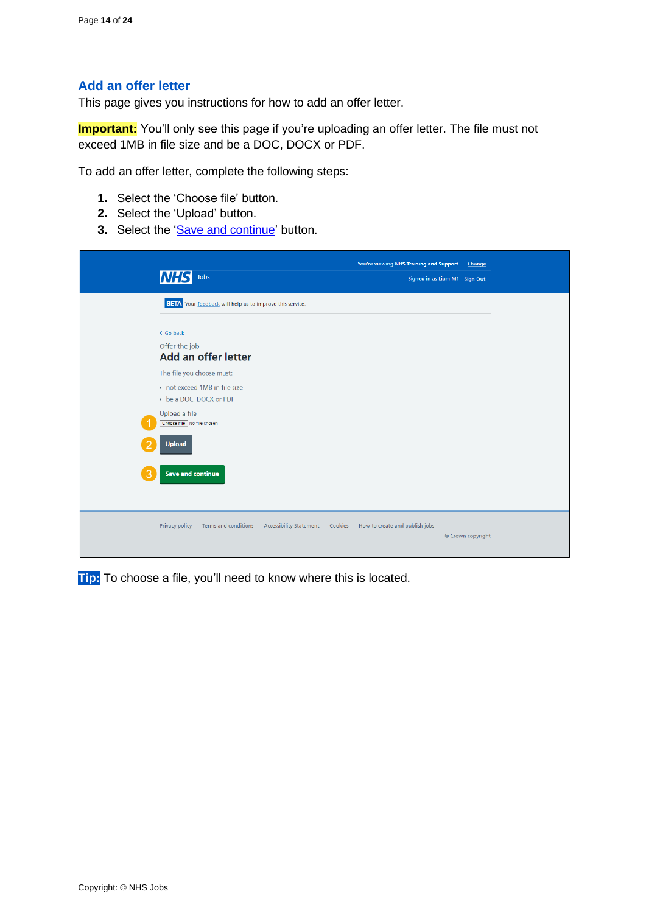# <span id="page-13-0"></span>**Add an offer letter**

This page gives you instructions for how to add an offer letter.

**Important:** You'll only see this page if you're uploading an offer letter. The file must not exceed 1MB in file size and be a DOC, DOCX or PDF.

To add an offer letter, complete the following steps:

- **1.** Select the 'Choose file' button.
- **2.** Select the 'Upload' button.
- **3.** Select the ['Save and continue'](#page-14-0) button.

| <b>NHS</b><br>Jobs                                                                     | You're viewing NHS Training and Support<br>Change<br>Signed in as Liam M1 Sign Out |
|----------------------------------------------------------------------------------------|------------------------------------------------------------------------------------|
| <b>BETA</b> Your feedback will help us to improve this service.                        |                                                                                    |
| < Go back<br>Offer the job<br>Add an offer letter                                      |                                                                                    |
| The file you choose must:<br>• not exceed 1MB in file size<br>• be a DOC, DOCX or PDF  |                                                                                    |
| Upload a file<br>Choose File No file chosen<br><b>Upload</b>                           |                                                                                    |
| <b>Save and continue</b><br>3                                                          |                                                                                    |
| <b>Terms and conditions</b><br><b>Accessibility Statement</b><br><b>Privacy policy</b> | How to create and publish jobs<br>Cookies<br>© Crown copyright                     |

**Tip:** To choose a file, you'll need to know where this is located.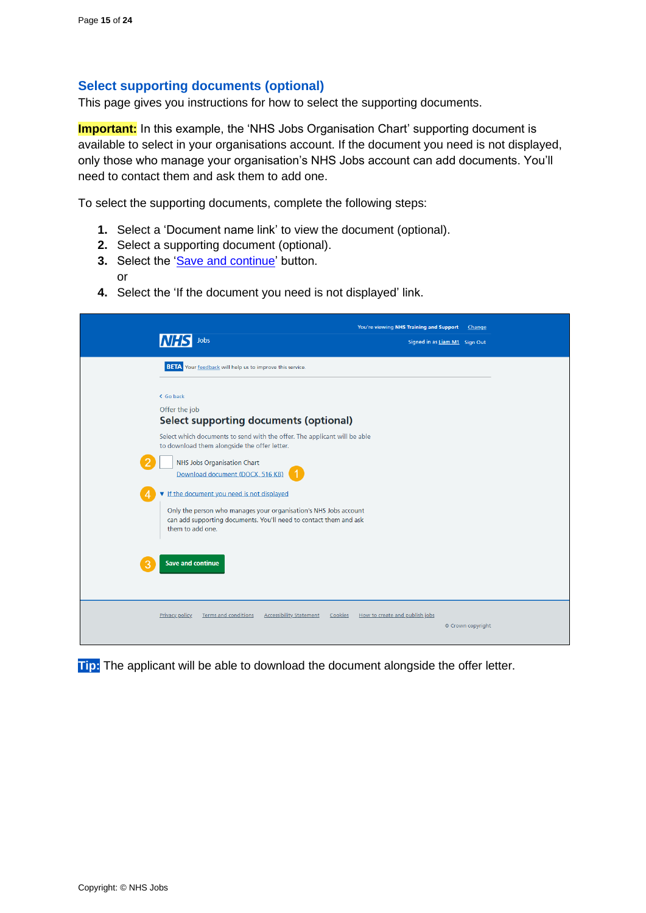or

# <span id="page-14-0"></span>**Select supporting documents (optional)**

This page gives you instructions for how to select the supporting documents.

**Important:** In this example, the 'NHS Jobs Organisation Chart' supporting document is available to select in your organisations account. If the document you need is not displayed, only those who manage your organisation's NHS Jobs account can add documents. You'll need to contact them and ask them to add one.

To select the supporting documents, complete the following steps:

- **1.** Select a 'Document name link' to view the document (optional).
- **2.** Select a supporting document (optional).
- **3.** Select the ['Save and continue'](#page-15-0) button.
- **4.** Select the 'If the document you need is not displayed' link.

| Jobs                                                                                                                                                                                                   | You're viewing NHS Training and Support<br>Change<br>Signed in as Liam M1 Sign Out |
|--------------------------------------------------------------------------------------------------------------------------------------------------------------------------------------------------------|------------------------------------------------------------------------------------|
| <b>BETA</b> Your feedback will help us to improve this service.                                                                                                                                        |                                                                                    |
| < Go back<br>Offer the job<br><b>Select supporting documents (optional)</b>                                                                                                                            |                                                                                    |
| Select which documents to send with the offer. The applicant will be able<br>to download them alongside the offer letter.<br>NHS Jobs Organisation Chart<br>Download document (DOCX, 516 KB)           |                                                                                    |
| If the document you need is not displayed<br>Only the person who manages your organisation's NHS Jobs account<br>can add supporting documents. You'll need to contact them and ask<br>them to add one. |                                                                                    |
| <b>Save and continue</b><br>3                                                                                                                                                                          |                                                                                    |
| <b>Terms and conditions</b><br><b>Accessibility Statement</b><br><b>Privacy policy</b><br>Cookies                                                                                                      | How to create and publish jobs<br>© Crown copyright                                |

**Tip:** The applicant will be able to download the document alongside the offer letter.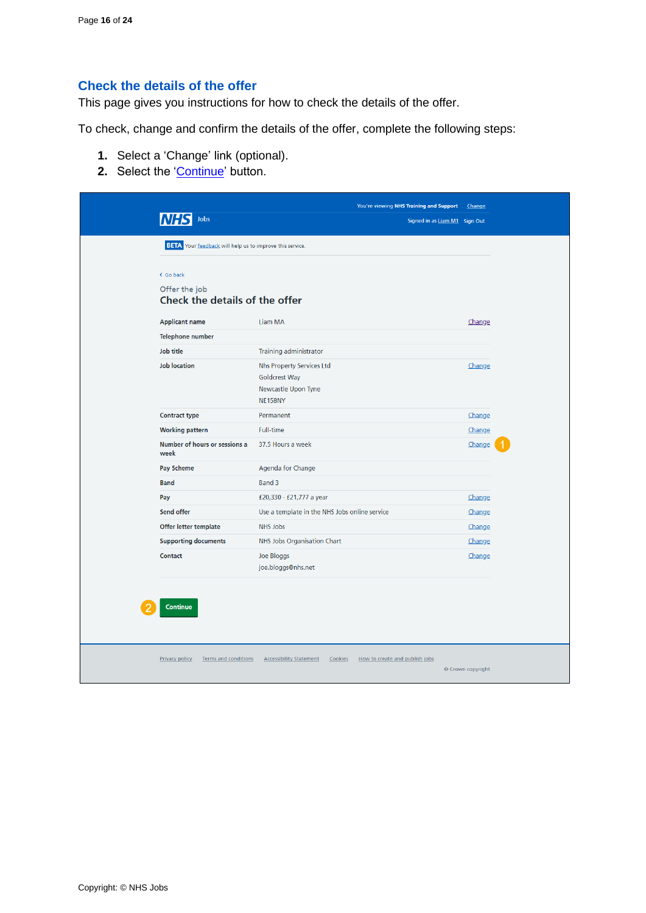# <span id="page-15-0"></span>**Check the details of the offer**

This page gives you instructions for how to check the details of the offer.

To check, change and confirm the details of the offer, complete the following steps:

- **1.** Select a 'Change' link (optional).
- **2.** Select the ['Continue'](#page-16-0) button.

|                                                                         | You're viewing NHS Training and Support                                             | Change                        |
|-------------------------------------------------------------------------|-------------------------------------------------------------------------------------|-------------------------------|
| Jobs                                                                    |                                                                                     | Signed in as Liam M1 Sign Out |
| <b>BETA</b> Your feedback will help us to improve this service.         |                                                                                     |                               |
| < Go back<br>Offer the job<br>Check the details of the offer            |                                                                                     |                               |
| <b>Applicant name</b>                                                   | Liam MA                                                                             | <b>Change</b>                 |
| Telephone number                                                        |                                                                                     |                               |
| Job title                                                               | Training administrator                                                              |                               |
| <b>Job location</b>                                                     | Nhs Property Services Ltd<br>Goldcrest Way<br>Newcastle Upon Tyne<br><b>NE158NY</b> | Change                        |
| <b>Contract type</b>                                                    | Permanent                                                                           | Change                        |
| <b>Working pattern</b>                                                  | <b>Full-time</b>                                                                    | Change                        |
| Number of hours or sessions a<br>week                                   | 37.5 Hours a week                                                                   | Change                        |
| Pay Scheme                                                              | Agenda for Change                                                                   |                               |
| <b>Band</b>                                                             | Band 3                                                                              |                               |
| Pay                                                                     | £20,330 - £21,777 a year                                                            | Change                        |
| Send offer                                                              | Use a template in the NHS Jobs online service                                       | Change                        |
| Offer letter template                                                   | NHS Jobs                                                                            | Change                        |
| <b>Supporting documents</b>                                             | NHS Jobs Organisation Chart                                                         | Change                        |
| Contact                                                                 | Joe Bloggs<br>joe.bloggs@nhs.net                                                    | Change                        |
| <b>Continue</b><br><b>Privacy policy</b><br><b>Terms and conditions</b> | How to create and publish jobs<br><b>Accessibility Statement</b><br>Cookies         | © Crown copyright             |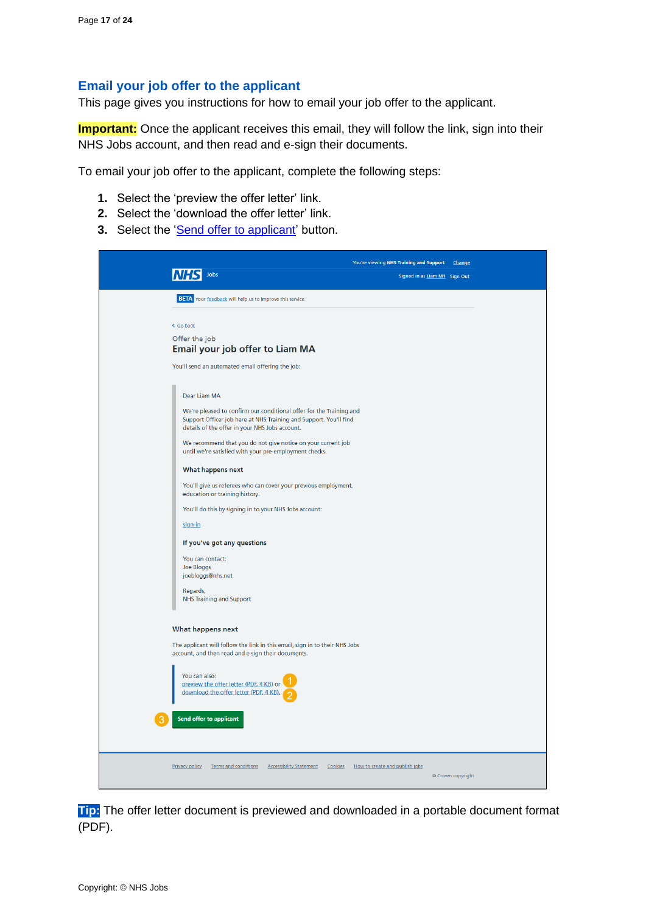# <span id="page-16-0"></span>**Email your job offer to the applicant**

This page gives you instructions for how to email your job offer to the applicant.

**Important:** Once the applicant receives this email, they will follow the link, sign into their NHS Jobs account, and then read and e-sign their documents.

To email your job offer to the applicant, complete the following steps:

- **1.** Select the 'preview the offer letter' link.
- **2.** Select the 'download the offer letter' link.
- **3.** Select the ['Send offer to applicant'](#page-17-0) button.

|                                                                                                                                                                                            | You're viewing NHS Training and Support Change      |
|--------------------------------------------------------------------------------------------------------------------------------------------------------------------------------------------|-----------------------------------------------------|
| Jobs                                                                                                                                                                                       | Signed in as Liam M1 Sign Out                       |
| <b>BETA</b> Your feedback will help us to improve this service.                                                                                                                            |                                                     |
| < Go back                                                                                                                                                                                  |                                                     |
| Offer the job<br>Email your job offer to Liam MA                                                                                                                                           |                                                     |
| You'll send an automated email offering the job:                                                                                                                                           |                                                     |
| Dear Liam MA                                                                                                                                                                               |                                                     |
| We're pleased to confirm our conditional offer for the Training and<br>Support Officer job here at NHS Training and Support. You'll find<br>details of the offer in your NHS Jobs account. |                                                     |
| We recommend that you do not give notice on your current job<br>until we're satisfied with your pre-employment checks.                                                                     |                                                     |
| What happens next<br>You'll give us referees who can cover your previous employment,<br>education or training history.                                                                     |                                                     |
| You'll do this by signing in to your NHS Jobs account:                                                                                                                                     |                                                     |
| sign-in                                                                                                                                                                                    |                                                     |
| If you've got any questions<br>You can contact:<br>Joe Bloggs<br>joebloggs@nhs.net<br>Regards,<br><b>NHS Training and Support</b>                                                          |                                                     |
|                                                                                                                                                                                            |                                                     |
| What happens next<br>The applicant will follow the link in this email, sign in to their NHS Jobs<br>account, and then read and e-sign their documents.                                     |                                                     |
| You can also:<br>preview the offer letter (PDF, 4 KB) or<br>download the offer letter (PDF, 4 KB)                                                                                          |                                                     |
| Send offer to applicant                                                                                                                                                                    |                                                     |
|                                                                                                                                                                                            |                                                     |
| Privacy policy<br>Terms and conditions  Accessibility Statement  Cookies                                                                                                                   | How to create and publish jobs<br>© Crown copyright |

**Tip:** The offer letter document is previewed and downloaded in a portable document format (PDF).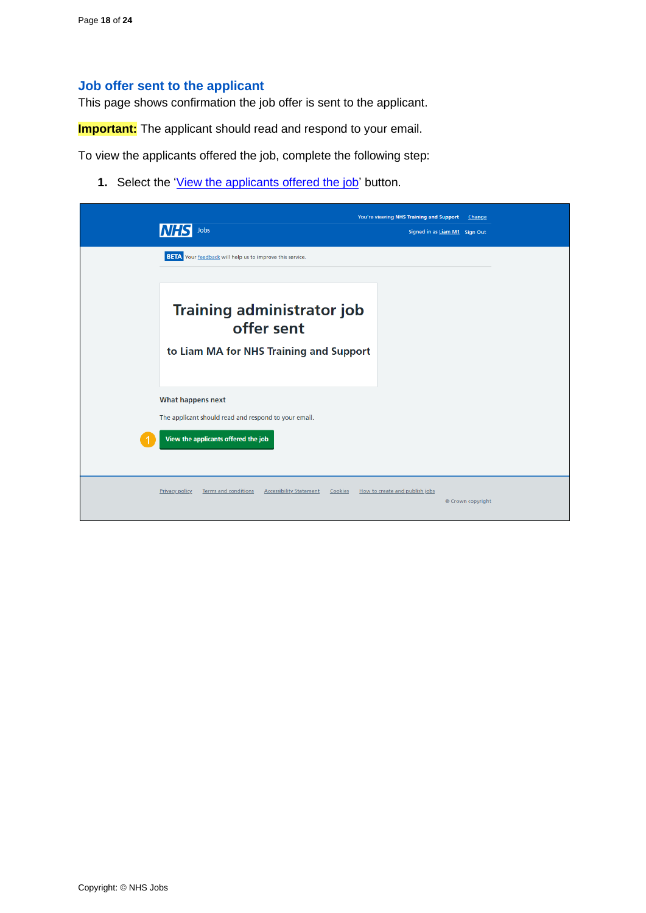## <span id="page-17-0"></span>**Job offer sent to the applicant**

This page shows confirmation the job offer is sent to the applicant.

**Important:** The applicant should read and respond to your email.

To view the applicants offered the job, complete the following step:

1. Select the ['View the applicants offered the job'](#page-18-0) button.

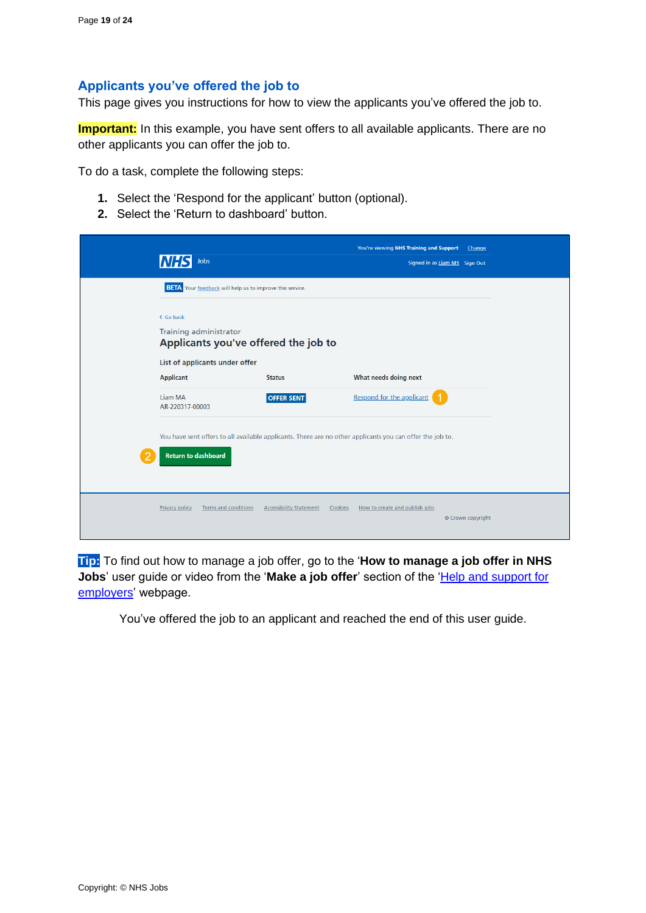# <span id="page-18-0"></span>**Applicants you've offered the job to**

This page gives you instructions for how to view the applicants you've offered the job to.

**Important:** In this example, you have sent offers to all available applicants. There are no other applicants you can offer the job to.

To do a task, complete the following steps:

- **1.** Select the 'Respond for the applicant' button (optional).
- **2.** Select the 'Return to dashboard' button.

| Jobs                                                                        |                                                                                                           | You're viewing NHS Training and Support<br>Change<br>Signed in as Liam M1 Sign Out |  |
|-----------------------------------------------------------------------------|-----------------------------------------------------------------------------------------------------------|------------------------------------------------------------------------------------|--|
|                                                                             | <b>BETA</b> Your feedback will help us to improve this service.                                           |                                                                                    |  |
| < Go back<br>Training administrator<br>Applicants you've offered the job to |                                                                                                           |                                                                                    |  |
| List of applicants under offer<br><b>Applicant</b>                          | <b>Status</b>                                                                                             | What needs doing next                                                              |  |
| Liam MA<br>AR-220317-00003                                                  | <b>OFFER SENT</b>                                                                                         | Respond for the applicant                                                          |  |
| <b>Return to dashboard</b>                                                  | You have sent offers to all available applicants. There are no other applicants you can offer the job to. |                                                                                    |  |
| <b>Terms and conditions</b><br><b>Privacy policy</b>                        | <b>Accessibility Statement</b>                                                                            | Cookies<br>How to create and publish jobs<br>© Crown copyright                     |  |

**Tip:** To find out how to manage a job offer, go to the '**How to manage a job offer in NHS Jobs**' user guide or video from the '**Make a job offer**' section of the ['Help and support for](https://www.nhsbsa.nhs.uk/new-nhs-jobs-service/help-and-support-employers)  [employers'](https://www.nhsbsa.nhs.uk/new-nhs-jobs-service/help-and-support-employers) webpage.

You've offered the job to an applicant and reached the end of this user guide.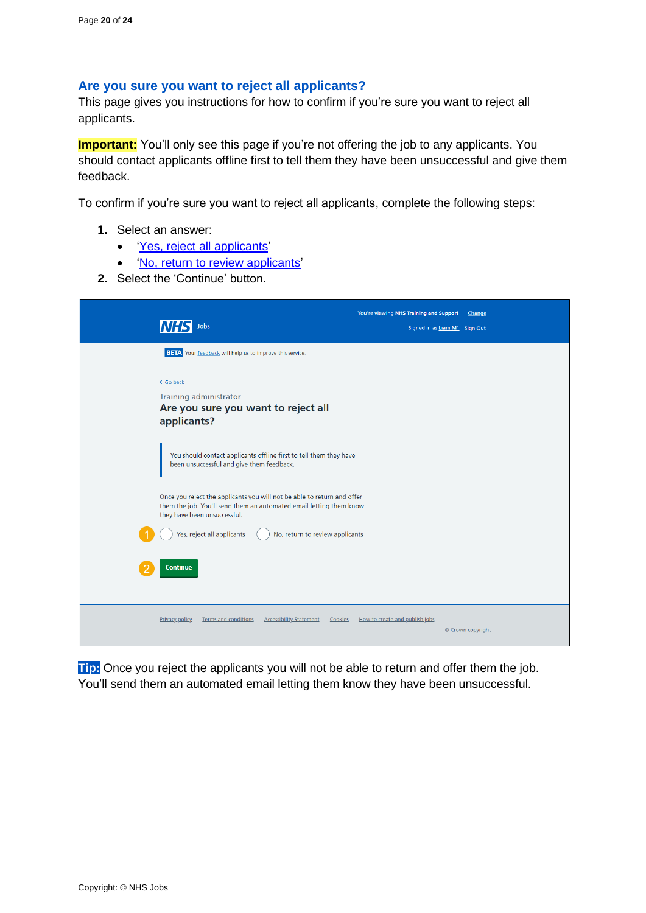## <span id="page-19-0"></span>**Are you sure you want to reject all applicants?**

This page gives you instructions for how to confirm if you're sure you want to reject all applicants.

**Important:** You'll only see this page if you're not offering the job to any applicants. You should contact applicants offline first to tell them they have been unsuccessful and give them feedback.

To confirm if you're sure you want to reject all applicants, complete the following steps:

- **1.** Select an answer:
	- ['Yes, reject all applicants'](#page-20-0)
	- ['No, return to review applicants'](#page-4-0)
- **2.** Select the 'Continue' button.



**Tip:** Once you reject the applicants you will not be able to return and offer them the job. You'll send them an automated email letting them know they have been unsuccessful.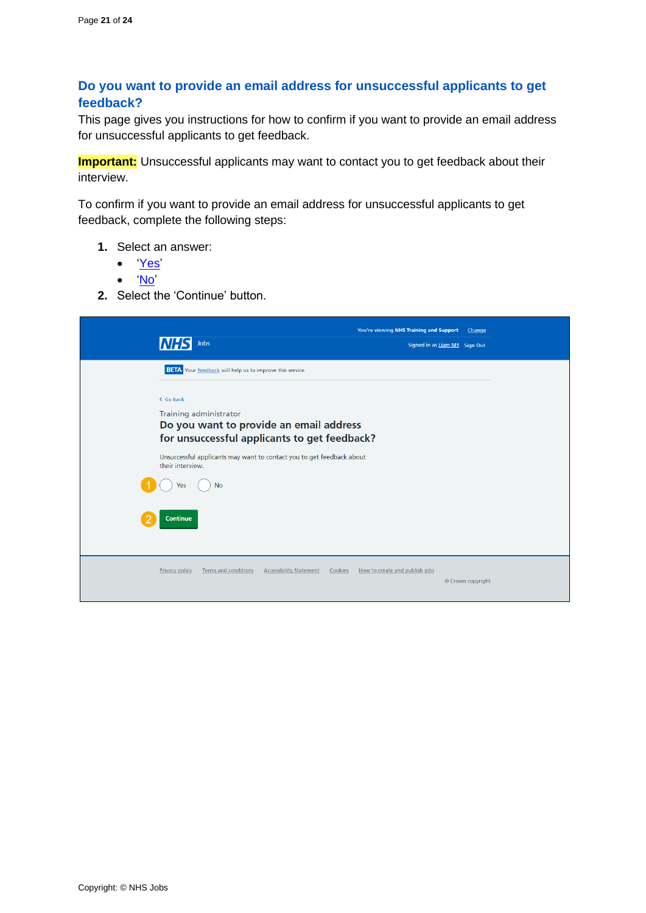# <span id="page-20-0"></span>**Do you want to provide an email address for unsuccessful applicants to get feedback?**

This page gives you instructions for how to confirm if you want to provide an email address for unsuccessful applicants to get feedback.

**Important:** Unsuccessful applicants may want to contact you to get feedback about their interview.

To confirm if you want to provide an email address for unsuccessful applicants to get feedback, complete the following steps:

- **1.** Select an answer:
	- ['Yes'](#page-21-0)
	- ['No'](#page-22-0)
- **2.** Select the 'Continue' button.

| Jobs                                                                                                                           | You're viewing NHS Training and Support<br>Change<br>Signed in as Liam M1 Sign Out |
|--------------------------------------------------------------------------------------------------------------------------------|------------------------------------------------------------------------------------|
| <b>BETA</b> Your feedback will help us to improve this service.                                                                |                                                                                    |
| < Go back<br>Training administrator<br>Do you want to provide an email address<br>for unsuccessful applicants to get feedback? |                                                                                    |
| Unsuccessful applicants may want to contact you to get feedback about<br>their interview.                                      |                                                                                    |
| <b>No</b><br>Yes                                                                                                               |                                                                                    |
| <b>Continue</b>                                                                                                                |                                                                                    |
| <b>Terms and conditions</b><br><b>Accessibility Statement</b><br><b>Privacy policy</b><br>Cookies                              | How to create and publish jobs<br>© Crown copyright                                |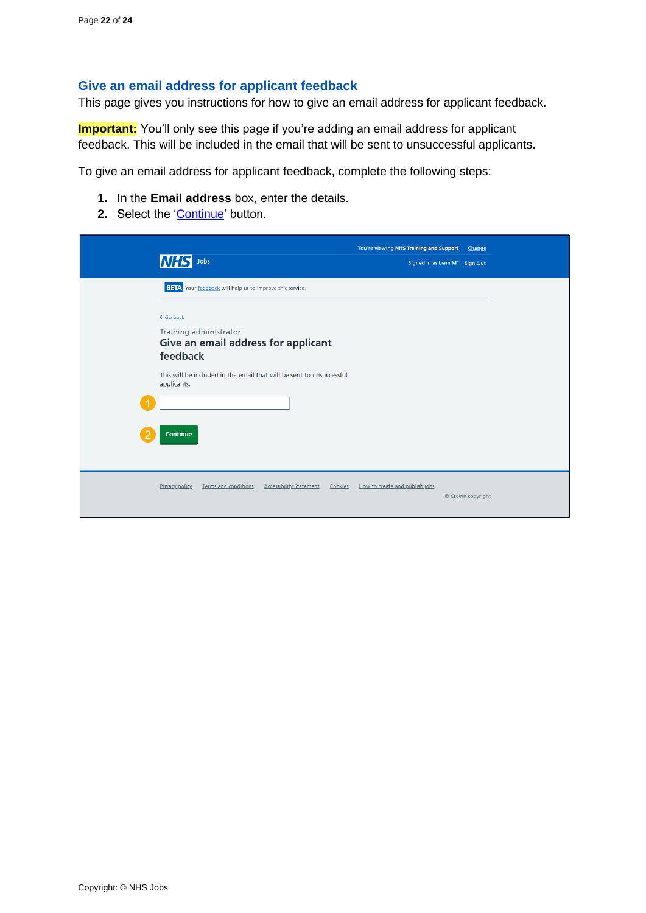# <span id="page-21-0"></span>**Give an email address for applicant feedback**

This page gives you instructions for how to give an email address for applicant feedback.

**Important:** You'll only see this page if you're adding an email address for applicant feedback. This will be included in the email that will be sent to unsuccessful applicants.

To give an email address for applicant feedback, complete the following steps:

- **1.** In the **Email address** box, enter the details.
- 2. Select the ['Continue'](#page-22-0) button.

| <b>NHS</b><br>Jobs                                                                                | You're viewing NHS Training and Support<br>Signed in as Liam M1 Sign Out | Change            |
|---------------------------------------------------------------------------------------------------|--------------------------------------------------------------------------|-------------------|
| <b>BETA</b> Your feedback will help us to improve this service.                                   |                                                                          |                   |
| < Go back<br>Training administrator<br>Give an email address for applicant<br>feedback            |                                                                          |                   |
| This will be included in the email that will be sent to unsuccessful<br>applicants.               |                                                                          |                   |
| Continue                                                                                          |                                                                          |                   |
| <b>Terms and conditions</b><br><b>Accessibility Statement</b><br>Cookies<br><b>Privacy policy</b> | How to create and publish jobs                                           | © Crown copyright |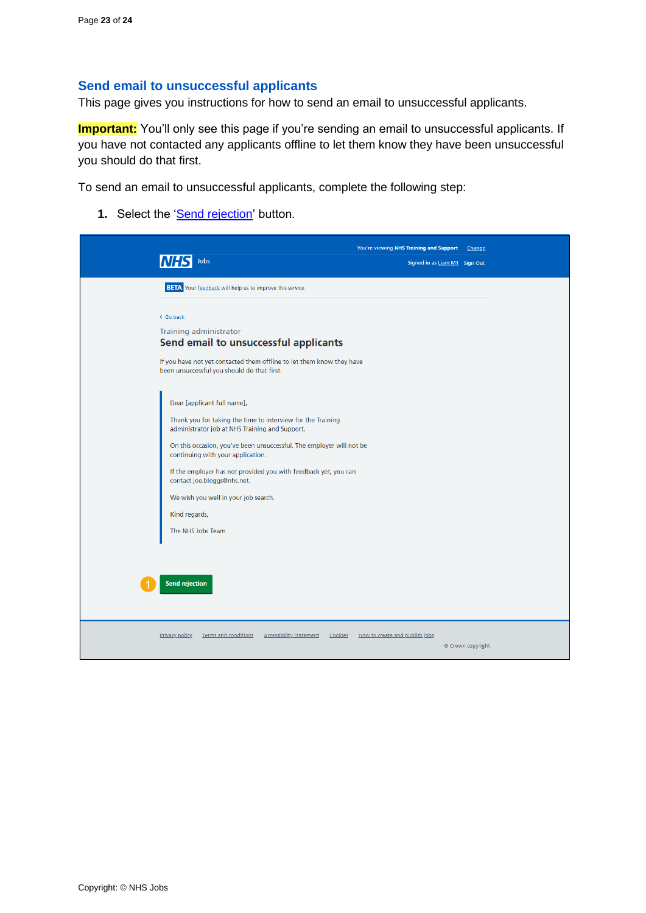# <span id="page-22-0"></span>**Send email to unsuccessful applicants**

This page gives you instructions for how to send an email to unsuccessful applicants.

**Important:** You'll only see this page if you're sending an email to unsuccessful applicants. If you have not contacted any applicants offline to let them know they have been unsuccessful you should do that first.

To send an email to unsuccessful applicants, complete the following step:

1. Select the ['Send rejection'](#page-23-0) button.

| Jobs<br>Signed in as Liam M1 Sign Out<br><b>BETA</b> Your feedback will help us to improve this service.<br>< Go back<br>Training administrator<br>Send email to unsuccessful applicants<br>If you have not yet contacted them offline to let them know they have<br>been unsuccessful you should do that first.<br>Dear [applicant full name],<br>Thank you for taking the time to interview for the Training<br>administrator job at NHS Training and Support.<br>On this occasion, you've been unsuccessful. The employer will not be<br>continuing with your application.<br>If the employer has not provided you with feedback yet, you can<br>contact joe.bloggs@nhs.net.<br>We wish you well in your job search.<br>Kind regards,<br>The NHS Jobs Team |                                                                                                   | You're viewing NHS Training and Support | Change            |
|---------------------------------------------------------------------------------------------------------------------------------------------------------------------------------------------------------------------------------------------------------------------------------------------------------------------------------------------------------------------------------------------------------------------------------------------------------------------------------------------------------------------------------------------------------------------------------------------------------------------------------------------------------------------------------------------------------------------------------------------------------------|---------------------------------------------------------------------------------------------------|-----------------------------------------|-------------------|
|                                                                                                                                                                                                                                                                                                                                                                                                                                                                                                                                                                                                                                                                                                                                                               |                                                                                                   |                                         |                   |
|                                                                                                                                                                                                                                                                                                                                                                                                                                                                                                                                                                                                                                                                                                                                                               |                                                                                                   |                                         |                   |
|                                                                                                                                                                                                                                                                                                                                                                                                                                                                                                                                                                                                                                                                                                                                                               |                                                                                                   |                                         |                   |
|                                                                                                                                                                                                                                                                                                                                                                                                                                                                                                                                                                                                                                                                                                                                                               |                                                                                                   |                                         |                   |
|                                                                                                                                                                                                                                                                                                                                                                                                                                                                                                                                                                                                                                                                                                                                                               |                                                                                                   |                                         |                   |
|                                                                                                                                                                                                                                                                                                                                                                                                                                                                                                                                                                                                                                                                                                                                                               |                                                                                                   |                                         |                   |
|                                                                                                                                                                                                                                                                                                                                                                                                                                                                                                                                                                                                                                                                                                                                                               |                                                                                                   |                                         |                   |
|                                                                                                                                                                                                                                                                                                                                                                                                                                                                                                                                                                                                                                                                                                                                                               |                                                                                                   |                                         |                   |
|                                                                                                                                                                                                                                                                                                                                                                                                                                                                                                                                                                                                                                                                                                                                                               |                                                                                                   |                                         |                   |
|                                                                                                                                                                                                                                                                                                                                                                                                                                                                                                                                                                                                                                                                                                                                                               |                                                                                                   |                                         |                   |
|                                                                                                                                                                                                                                                                                                                                                                                                                                                                                                                                                                                                                                                                                                                                                               |                                                                                                   |                                         |                   |
|                                                                                                                                                                                                                                                                                                                                                                                                                                                                                                                                                                                                                                                                                                                                                               |                                                                                                   |                                         |                   |
|                                                                                                                                                                                                                                                                                                                                                                                                                                                                                                                                                                                                                                                                                                                                                               |                                                                                                   |                                         |                   |
|                                                                                                                                                                                                                                                                                                                                                                                                                                                                                                                                                                                                                                                                                                                                                               |                                                                                                   |                                         |                   |
|                                                                                                                                                                                                                                                                                                                                                                                                                                                                                                                                                                                                                                                                                                                                                               |                                                                                                   |                                         |                   |
| <b>Send rejection</b>                                                                                                                                                                                                                                                                                                                                                                                                                                                                                                                                                                                                                                                                                                                                         |                                                                                                   |                                         |                   |
|                                                                                                                                                                                                                                                                                                                                                                                                                                                                                                                                                                                                                                                                                                                                                               | <b>Accessibility Statement</b><br><b>Privacy policy</b><br><b>Terms and conditions</b><br>Cookies | How to create and publish jobs          |                   |
|                                                                                                                                                                                                                                                                                                                                                                                                                                                                                                                                                                                                                                                                                                                                                               |                                                                                                   |                                         | © Crown copyright |